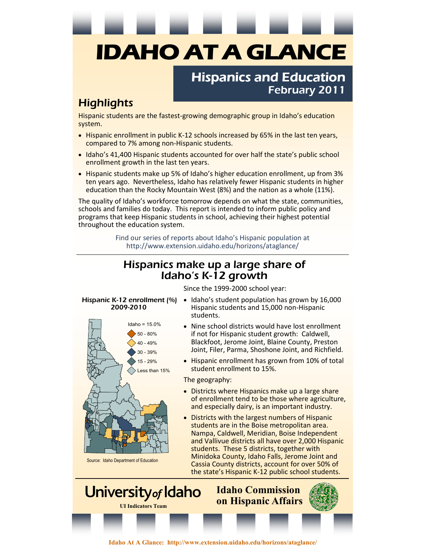# **IDAHO AT A GLANCE**

### Hispanics and Education February 2011

## **Highlights**

Hispanic students are the fastest-growing demographic group in Idaho's education system.

- Hispanic enrollment in public K-12 schools increased by 65% in the last ten years, compared to 7% among non-Hispanic students.
- Idaho's 41,400 Hispanic students accounted for over half the state's public school enrollment growth in the last ten years.
- Hispanic students make up 5% of Idaho's higher education enrollment, up from 3% ten years ago. Nevertheless, Idaho has relatively fewer Hispanic students in higher education than the Rocky Mountain West (8%) and the nation as a whole (11%).

The quality of Idaho's workforce tomorrow depends on what the state, communities, schools and families do today. This report is intended to inform public policy and programs that keep Hispanic students in school, achieving their highest potential throughout the education system.

> Find our series of reports about Idaho's Hispanic population at http://www.extension.uidaho.edu/horizons/ataglance/

#### Hispanics make up a large share of Idaho's K-12 growth

Since the 1999-2000 school year:

# 2009-2010



Source: Idaho Department of Education

- Hispanic K-12 enrollment (%) Idaho's student population has grown by 16,000 Hispanic students and 15,000 non-Hispanic students.
	- Nine school districts would have lost enrollment if not for Hispanic student growth: Caldwell, Blackfoot, Jerome Joint, Blaine County, Preston Joint, Filer, Parma, Shoshone Joint, and Richfield.
	- Hispanic enrollment has grown from 10% of total student enrollment to 15%.

The geography:

- Districts where Hispanics make up a large share of enrollment tend to be those where agriculture, and especially dairy, is an important industry.
- Districts with the largest numbers of Hispanic students are in the Boise metropolitan area. Nampa, Caldwell, Meridian, Boise Independent and Vallivue districts all have over 2,000 Hispanic students. These 5 districts, together with Minidoka County, Idaho Falls, Jerome Joint and Cassia County districts, account for over 50% of the state's Hispanic K-12 public school students.

University of Idaho **Idaho Commission on Hispanic Affairs UI Indicators Team** 

**Idaho At A Glance: http://www.extension.uidaho.edu/horizons/ataglance/**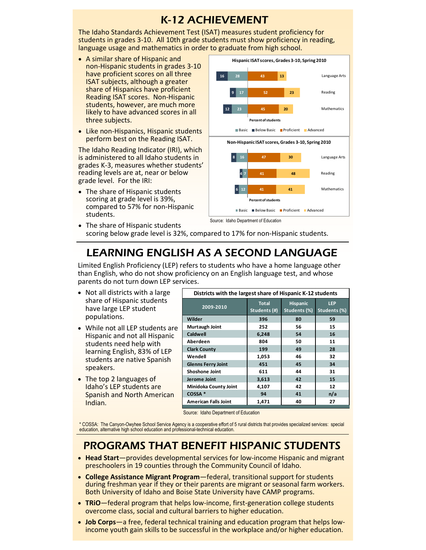## K-12 ACHIEVEMENT

The Idaho Standards Achievement Test (ISAT) measures student proficiency for students in grades 3-10. All 10th grade students must show proficiency in reading, language usage and mathematics in order to graduate from high school.

- A similar share of Hispanic and non-Hispanic students in grades 3-10 have proficient scores on all three ISAT subjects, although a greater share of Hispanics have proficient Reading ISAT scores. Non-Hispanic students, however, are much more likely to have advanced scores in all three subjects.
- Like non-Hispanics, Hispanic students perform best on the Reading ISAT.

The Idaho Reading Indicator (IRI), which is administered to all Idaho students in grades K-3, measures whether students' reading levels are at, near or below grade level. For the IRI:

• The share of Hispanic students scoring at grade level is 39%, compared to 57% for non-Hispanic students.



• The share of Hispanic students scoring below grade level is 32%, compared to 17% for non-Hispanic students.

# LEARNING ENGLISH AS A SECOND LANGUAGE

Limited English Proficiency (LEP) refers to students who have a home language other than English, who do not show proficiency on an English language test, and whose parents do not turn down LEP services.

- Not all districts with a large share of Hispanic students have large LEP student populations.
- While not all LEP students are Hispanic and not all Hispanic students need help with learning English, 83% of LEP students are native Spanish speakers.
- The top 2 languages of Idaho's LEP students are Spanish and North American Indian.

| Districts with the largest share of Hispanic K-12 students |                              |                                 |                            |
|------------------------------------------------------------|------------------------------|---------------------------------|----------------------------|
| 2009-2010                                                  | <b>Total</b><br>Students (#) | <b>Hispanic</b><br>Students (%) | <b>LEP</b><br>Students (%) |
| Wilder                                                     | 396                          | 80                              | 59                         |
| Murtaugh Joint                                             | 252                          | 56                              | 15                         |
| Caldwell                                                   | 6,248                        | 54                              | 16                         |
| Aberdeen                                                   | 804                          | 50                              | 11                         |
| <b>Clark County</b>                                        | 199                          | 49                              | 28                         |
| Wendell                                                    | 1,053                        | 46                              | 32                         |
| <b>Glenns Ferry Joint</b>                                  | 451                          | 45                              | 34                         |
| <b>Shoshone Joint</b>                                      | 611                          | 44                              | 31                         |
| Jerome Joint                                               | 3,613                        | 42                              | 15                         |
| Minidoka County Joint                                      | 4,107                        | 42                              | 12                         |
| COSSA *                                                    | 94                           | 41                              | n/a                        |
| <b>American Falls Joint</b>                                | 1,471                        | 40                              | 27                         |

Source: Idaho Department of Education

\* COSSA: The Canyon-Owyhee School Service Agency is a cooperative effort of 5 rural districts that provides specialized services: special education, alternative high school education and professional-technical education.

# PROGRAMS THAT BENEFIT HISPANIC STUDENTS

- **Head Start**—provides developmental services for low-income Hispanic and migrant preschoolers in 19 counties through the Community Council of Idaho.
- **College Assistance Migrant Program**—federal, transitional support for students during freshman year if they or their parents are migrant or seasonal farm workers. Both University of Idaho and Boise State University have CAMP programs.
- **TRiO**—federal program that helps low-income, first-generation college students overcome class, social and cultural barriers to higher education.
- **Job Corps**—a free, federal technical training and education program that helps lowincome youth gain skills to be successful in the workplace and/or higher education.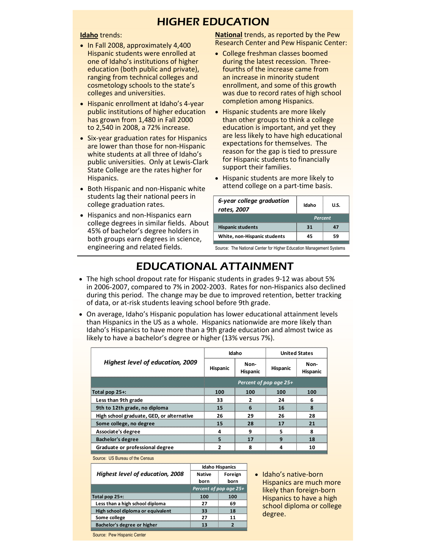#### HIGHER EDUCATION

#### **Idaho** trends:

- In Fall 2008, approximately 4,400 Hispanic students were enrolled at one of Idaho's institutions of higher education (both public and private), ranging from technical colleges and cosmetology schools to the state's colleges and universities.
- Hispanic enrollment at Idaho's 4-year public institutions of higher education has grown from 1,480 in Fall 2000 to 2,540 in 2008, a 72% increase.
- Six-year graduation rates for Hispanics are lower than those for non-Hispanic white students at all three of Idaho's public universities. Only at Lewis-Clark State College are the rates higher for Hispanics.
- Both Hispanic and non-Hispanic white students lag their national peers in college graduation rates.
- Hispanics and non-Hispanics earn college degrees in similar fields. About 45% of bachelor's degree holders in both groups earn degrees in science, engineering and related fields.

**National** trends, as reported by the Pew Research Center and Pew Hispanic Center:

- College freshman classes boomed during the latest recession. Threefourths of the increase came from an increase in minority student enrollment, and some of this growth was due to record rates of high school completion among Hispanics.
- Hispanic students are more likely than other groups to think a college education is important, and yet they are less likely to have high educational expectations for themselves. The reason for the gap is tied to pressure for Hispanic students to financially support their families.
- Hispanic students are more likely to attend college on a part-time basis.

| 6-year college graduation<br>rates, 2007 | Idaho   | U.S. |
|------------------------------------------|---------|------|
|                                          | Percent |      |
| <b>Hispanic students</b>                 |         |      |
| White, non-Hispanic students             |         |      |
|                                          |         |      |

Source: The National Center for Higher Education Management Systems

# EDUCATIONAL ATTAINMENT

- The high school dropout rate for Hispanic students in grades 9-12 was about 5% in 2006-2007, compared to 7% in 2002-2003. Rates for non-Hispanics also declined during this period. The change may be due to improved retention, better tracking of data, or at-risk students leaving school before 9th grade.
- On average, Idaho's Hispanic population has lower educational attainment levels than Hispanics in the US as a whole. Hispanics nationwide are more likely than Idaho's Hispanics to have more than a 9th grade education and almost twice as likely to have a bachelor's degree or higher (13% versus 7%).

|                                           | Idaho                  |                         | <b>United States</b> |                  |
|-------------------------------------------|------------------------|-------------------------|----------------------|------------------|
| Highest level of education, 2009          | <b>Hispanic</b>        | Non-<br><b>Hispanic</b> | <b>Hispanic</b>      | Non-<br>Hispanic |
|                                           | Percent of pop age 25+ |                         |                      |                  |
| Total pop 25+:                            | 100                    | 100                     | 100                  | 100              |
| Less than 9th grade                       | 33                     |                         | 24                   | 6                |
| 9th to 12th grade, no diploma             | 15                     | 6                       | 16                   | я                |
| High school graduate, GED, or alternative | 26                     | 29                      | 26                   | 28               |
| Some college, no degree                   | 15                     | 28                      | 17                   | 21               |
| Associate's degree                        | Δ                      | q                       | 5                    | я                |
| <b>Bachelor's degree</b>                  | 5                      | 17                      | 9                    | 18               |
| Graduate or professional degree           | ን                      | 8                       |                      | 10               |

Source: US Bureau of the Census

|                                         | <b>Idaho Hispanics</b> |         |  |
|-----------------------------------------|------------------------|---------|--|
| <b>Highest level of education, 2008</b> | Native                 | Foreign |  |
|                                         | born                   | born    |  |
|                                         | Percent of pop age 25+ |         |  |
| Total pop 25+:                          | 100                    | 100     |  |
| Less than a high school diploma         | 77                     | ĥ۹      |  |
| High school diploma or equivalent       |                        |         |  |
| Some college                            |                        |         |  |
| Bachelor's degree or higher             |                        |         |  |
|                                         |                        |         |  |

• Idaho's native-born Hispanics are much more likely than foreign-born Hispanics to have a high school diploma or college degree.

Source: Pew Hispanic Center